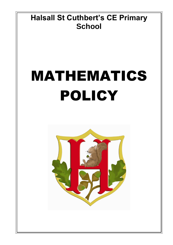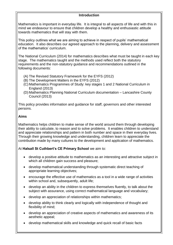#### **Introduction**

Mathematics is important in everyday life. It is integral to all aspects of life and with this in mind we endeavour to ensure that children develop a healthy and enthusiastic attitude towards mathematics that will stay with them.

This policy outlines what we are aiming to achieve in respect of pupils' mathematical education. It also describes our agreed approach to the planning, delivery and assessment of the mathematics' curriculum.

The National Curriculum (2014) for mathematics describes what must be taught in each key stage. The mathematics taught and the methods used reflect both the statutory requirements and the non-statutory guidance and recommendations outlined in the following documents:

- (A) The Revised Statutory Framework for the EYFS (2012)
- (B) The Development Matters in the EYFS (2012)
- (C) Mathematics Programmes of Study: key stages 1 and 2 National Curriculum in England (2013)
- (D) Mathematics Planning National Curriculum documentation Lancashire County Council (2013)

This policy provides information and guidance for staff, governors and other interested persons.

### **Aims**

Mathematics helps children to make sense of the world around them through developing their ability to calculate, to reason and to solve problems. It enables children to understand and appreciate relationships and pattern in both number and space in their everyday lives. Through their growing knowledge and understanding, children learn to appreciate the contribution made by many cultures to the development and application of mathematics.

# At **Halsall St Cuthbert's CE Primary School** we aim to:

- develop a positive attitude to mathematics as an interesting and attractive subject in which all children gain success and pleasure;
- develop mathematical understanding through systematic direct teaching of appropriate learning objectives;
- encourage the effective use of mathematics as a tool in a wide range of activities within school and, subsequently, adult life;
- develop an ability in the children to express themselves fluently, to talk about the subject with assurance, using correct mathematical language and vocabulary;
- develop an appreciation of relationships within mathematics;
- develop ability to think clearly and logically with independence of thought and flexibility of mind;
- develop an appreciation of creative aspects of mathematics and awareness of its aesthetic appeal;
- develop mathematical skills and knowledge and quick recall of basic facts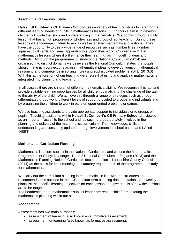# **Teaching and Learning Style**

**Halsall St Cuthbert's CE Primary School** uses a variety of teaching styles to cater for the different learning needs of pupils in mathematics lessons. Our principle aim is to develop children's knowledge, skills and understanding in mathematics. We do this through a daily lesson that has a high proportion of whole-class and group-direct teaching. During these lessons we encourage children to ask as well as answer mathematical questions. They have the opportunity to use a wide range of resources such as number lines, number squares, digit cards and small apparatus to support their work. Children use ICT in mathematics lessons where it will enhance their learning, as in modelling ideas and methods. Although the programmes of study of the National Curriculum (2014) are organised into distinct domains we believe as the National Curriculum states 'that pupils should make rich connections across mathematical ideas to develop fluency, mathematical reasoning and competence in solving increasing sophisticated problems' (DFE, 2013:3) With this at the forefront of our teaching we ensure that using and applying mathematics is integrated into planning and teaching.

In all classes there are children of differing mathematical ability. We recognise this fact and provide suitable learning opportunities for all children by matching the challenge of the task to the ability of the child. We achieve this through a range of strategies such as through differentiated group work, different levels of support provided to groups and individuals and by organising the children to work in pairs on open-ended problems or games.

We use teaching assistants to provide appropriate support to individuals or to groups of pupils. Teaching assistants within **Halsall St Cuthbert's CE Primary School** are viewed as an important 'asset' to the school and, as such, are appropriately involved in the planning and delivery of the mathematics curriculum. Their knowledge, skills and understanding are constantly updated through involvement in school-based and LA led INSET.

# **Mathematics Curriculum Planning**

Mathematics is a core subject in the National Curriculum, and we use the Mathematics Programmes of Study: key stages 1 and 2 National Curriculum in England (2013) and the Mathematics Planning National Curriculum documentation – Lancashire County Council (2014) as the basis for implementing the statutory requirements of the programme of study for mathematics.

We carry out the curriculum planning in mathematics in line with the structures and recommendations outlined in the LCC medium term planning documentation. Our weekly plans list the specific learning objectives for each lesson and give details of how the lessons are to be taught.

The headteacher and mathematics subject leader are responsible for monitoring the mathematics planning within our school.

# **Assessment**

Assessment has two main purposes:

- assessment of learning (also known as summative assessment);
- assessment for learning (also known as formative assessment).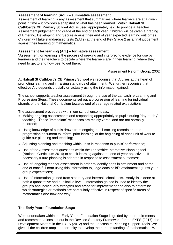#### **Assessment of learning (AoL) – summative assessment**

Assessment of learning is any assessment that summarises where learners are at a given point in time – it provides a snapshot of what has been learned. Within **Halsall St Cuthbert's CE Primary School** AoL is used appropriately, e.g. to provide a Teacher Assessment judgement and grade at the end of each year. Children will be given a grading of Entering, Developing and Secure against their end of year expected learning outcomes. Children will take standardised tests (SATs) at the end of Key Stage 2 as a final judgement against their learning of mathematics.

# **Assessment for learning (AfL) – formative assessment**

"Assessment for learning is the process of seeking and interpreting evidence for use by learners and their teachers to decide where the learners are in their learning, where they need to get to and how best to get there."

Assessment Reform Group, 2002

At **Halsall St Cuthbert's CE Primary School** we recognise that AfL lies at the heart of promoting learning and in raising standards of attainment. We further recognise that effective AfL depends crucially on actually using the information gained.

The school supports teacher assessment through the use of the Lancashire Learning and Progression Steps. These documents set out a progression of learning for individual strands of the National Curriculum towards end of year age related expectations.

The assessment procedures within our school encompass:

- Making ongoing assessments and responding appropriately to pupils during 'day-to-day' teaching. These 'immediate' responses are mainly verbal and are not normally recorded;
- Using knowledge of pupils drawn from ongoing pupil tracking records and the progression document to inform 'prior learning' at the beginning of each unit of work to guide our planning and teaching;
- Adjusting planning and teaching within units in response to pupils' performance;
- Use of the Assessment questions within the Lancashire Interactive Planning tool (National Curriculum 2014) to check learning against the end of year objectives. If necessary future planning is adapted in response to assessment outcomes;
- Use of ongoing teacher assessment in order to identify gaps in attainment and at the end of each full term using this information to judge each child's attainment against year group expectations;
- Use of information gained from statutory and internal school tests. Analysis is done at both a quantitative and qualitative level. Information gained is used to identify the group's and individual's strengths and areas for improvement and also to determine which strategies or methods are particularly effective in respect of specific areas of mathematics (the how and why).

# **The Early Years Foundation Stage**

Work undertaken within the Early Years Foundation Stage is guided by the requirements and recommendations set out in the Revised Statutory Framework for the EYFS (2017), the Development Matters in the EYFS (2012) and the Lancashire Planning Support Tools. We give all the children ample opportunity to develop their understanding of mathematics. We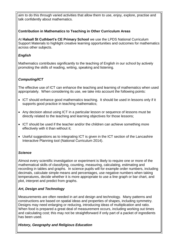aim to do this through varied activities that allow them to use, enjoy, explore, practise and talk confidently about mathematics.

# **Contribution in Mathematics to Teaching in Other Curriculum Areas**

At **Halsall St Cuthbert's CE Primary School** we use the LPDS National Curriculum Support Materials to highlight creative learning opportunities and outcomes for mathematics across other subjects.

### *English*

Mathematics contributes significantly to the teaching of English in our school by actively promoting the skills of reading, writing, speaking and listening.

# *Computing/ICT*

The effective use of ICT can enhance the teaching and learning of mathematics when used appropriately. When considering its use, we take into account the following points:

- ICT should enhance good mathematics teaching. It should be used in lessons only if it supports good practice in teaching mathematics;
- Any decision about using ICT in a particular lesson or sequence of lessons must be directly related to the teaching and learning objectives for those lessons;
- ICT should be used if the teacher and/or the children can achieve something more effectively with it than without it;
- Useful suggestions as to integrating ICT is given in the ICT section of the Lancashire Interactive Planning tool (National Curriculum 2014).

#### *Science*

Almost every scientific investigation or experiment is likely to require one or more of the mathematical skills of classifying, counting, measuring, calculating, estimating and recording in tables and graphs. In science pupils will for example order numbers, including decimals, calculate simple means and percentages, use negative numbers when taking temperatures, decide whether it is more appropriate to use a line graph or bar chart, and plot, interpret and predict from graphs.

# *Art, Design and Technology*

Measurements are often needed in art and design and technology. Many patterns and constructions are based on spatial ideas and properties of shapes, including symmetry. Designs may need enlarging or reducing, introducing ideas of multiplication and ratio. When food is prepared a great deal of measurement occurs, including working out times and calculating cost; this may not be straightforward if only part of a packet of ingredients has been used.

#### *History, Geography and Religious Education*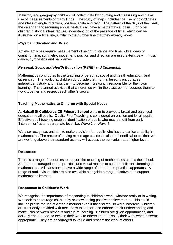In history and geography children will collect data by counting and measuring and make use of measurements of many kinds. The study of maps includes the use of co-ordinates and ideas of angle, direction, position, scale and ratio. The pattern of the days of the week, the calendar and recurring annual festivals all have a mathematical basis. For older children historical ideas require understanding of the passage of time, which can be illustrated on a time line, similar to the number line that they already know.

### *Physical Education and Music*

Athletic activities require measurement of height, distance and time, while ideas of counting, time, symmetry, movement, position and direction are used extensively in music, dance, gymnastics and ball games.

### *Personal, Social and Health Education (PSHE) and Citizenship*

Mathematics contributes to the teaching of personal, social and health education, and citizenship. The work that children do outside their normal lessons encourages independent study and helps them to become increasingly responsible for their own learning. The planned activities that children do within the classroom encourage them to work together and respect each other's views.

### **Teaching Mathematics to Children with Special Needs**

At **Halsall St Cuthbert's CE Primary School** we aim to provide a broad and balanced education to all pupils. Quality First Teaching is considered an entitlement for all pupils. Effective pupil tracking enables identification of pupils who may benefit from early 'intervention' at an appropriate level, i.e. Wave 2 or Wave 3.

We also recognise, and aim to make provision for, pupils who have a particular ability in mathematics. The nature of having mixed age classes is also be beneficial to children who are working above their standard as they will access the curriculum at a higher level.

# **Resources**

There is a range of resources to support the teaching of mathematics across the school. Staff are encouraged to use practical and visual models to support children's learning in mathematics. All classrooms have a wide range of appropriate practical apparatus. A range of audio visual aids are also available alongside a range of software to support mathematics learning.

# **Responses to Children's Work**

We recognise the importance of responding to children's work, whether orally or in writing. We seek to encourage children by acknowledging positive achievements. This could include praise for use of a viable method even if the end results were incorrect. Children are frequently provided with next steps to support and enhance their understanding and make links between previous and future learning. Children are given opportunities, and actively encouraged, to explain their work to others and to display their work when it seems appropriate. They are encouraged to value and respect the work of others.